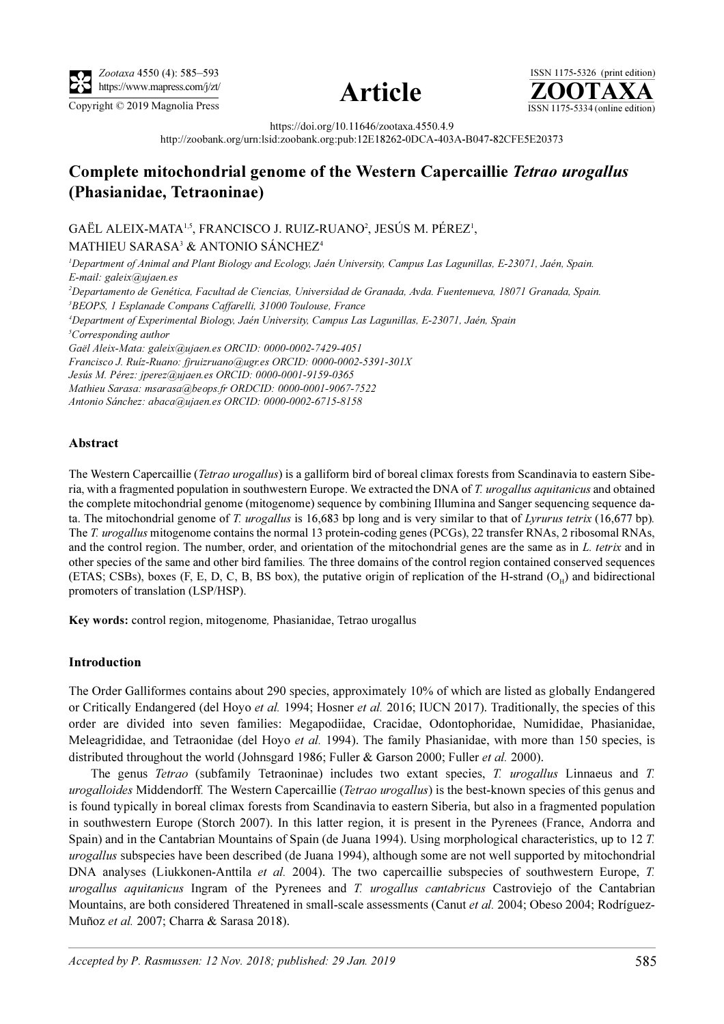

Copyright © 2019 Magnolia Press ISSN 1175-5334 (online edition)





https://doi.org/10.11646/zootaxa.4550.4.9

http://zoobank.org/urn:lsid:zoobank.org:pub:12E18262-0DCA-403A-B047-82CFE5E20373

# Complete mitochondrial genome of the Western Capercaillie Tetrao urogallus (Phasianidae, Tetraoninae)

GAËL ALEIX-MATA<sup>1,5</sup>, FRANCISCO J. RUIZ-RUANO<sup>2</sup>, JESÚS M. PÉREZ<sup>1</sup>, MATHIEU SARASA<sup>3</sup> & ANTONIO SÁNCHEZ<sup>4</sup>

1 Department of Animal and Plant Biology and Ecology, Jaén University, Campus Las Lagunillas, E-23071, Jaén, Spain. E-mail: galeix@ujaen.es 2 Departamento de Genética, Facultad de Ciencias, Universidad de Granada, Avda. Fuentenueva, 18071 Granada, Spain. 3 BEOPS, 1 Esplanade Compans Caffarelli, 31000 Toulouse, France 4 Department of Experimental Biology, Jaén University, Campus Las Lagunillas, E-23071, Jaén, Spain <sup>5</sup>Corresponding author Gaël Aleix-Mata: galeix@ujaen.es ORCID: 0000-0002-7429-4051 Francisco J. Ruíz-Ruano: fjruizruano@ugr.es ORCID: 0000-0002-5391-301X Jesús M. Pérez: jperez@ujaen.es ORCID: 0000-0001-9159-0365 Mathieu Sarasa: msarasa@beops.fr ORDCID: 0000-0001-9067-7522 Antonio Sánchez: abaca@ujaen.es ORCID: 0000-0002-6715-8158

# Abstract

The Western Capercaillie (Tetrao urogallus) is a galliform bird of boreal climax forests from Scandinavia to eastern Siberia, with a fragmented population in southwestern Europe. We extracted the DNA of T. urogallus aquitanicus and obtained the complete mitochondrial genome (mitogenome) sequence by combining Illumina and Sanger sequencing sequence data. The mitochondrial genome of T. *urogallus* is 16,683 bp long and is very similar to that of Lyrurus tetrix (16,677 bp). The T. urogallus mitogenome contains the normal 13 protein-coding genes (PCGs), 22 transfer RNAs, 2 ribosomal RNAs, and the control region. The number, order, and orientation of the mitochondrial genes are the same as in L. tetrix and in other species of the same and other bird families. The three domains of the control region contained conserved sequences (ETAS; CSBs), boxes (F, E, D, C, B, BS box), the putative origin of replication of the H-strand  $(O<sub>H</sub>)$  and bidirectional promoters of translation (LSP/HSP).

Key words: control region, mitogenome, Phasianidae, Tetrao urogallus

# Introduction

The Order Galliformes contains about 290 species, approximately 10% of which are listed as globally Endangered or Critically Endangered (del Hoyo et al. 1994; Hosner et al. 2016; IUCN 2017). Traditionally, the species of this order are divided into seven families: Megapodiidae, Cracidae, Odontophoridae, Numididae, Phasianidae, Meleagrididae, and Tetraonidae (del Hoyo et al. 1994). The family Phasianidae, with more than 150 species, is distributed throughout the world (Johnsgard 1986; Fuller & Garson 2000; Fuller *et al.* 2000).

The genus Tetrao (subfamily Tetraoninae) includes two extant species, T. urogallus Linnaeus and T. urogalloides Middendorff. The Western Capercaillie (Tetrao urogallus) is the best-known species of this genus and is found typically in boreal climax forests from Scandinavia to eastern Siberia, but also in a fragmented population in southwestern Europe (Storch 2007). In this latter region, it is present in the Pyrenees (France, Andorra and Spain) and in the Cantabrian Mountains of Spain (de Juana 1994). Using morphological characteristics, up to 12 T. urogallus subspecies have been described (de Juana 1994), although some are not well supported by mitochondrial DNA analyses (Liukkonen-Anttila *et al.* 2004). The two capercaillie subspecies of southwestern Europe, T. urogallus aquitanicus Ingram of the Pyrenees and T. urogallus cantabricus Castroviejo of the Cantabrian Mountains, are both considered Threatened in small-scale assessments (Canut et al. 2004; Obeso 2004; Rodríguez-Muñoz et al. 2007; Charra & Sarasa 2018).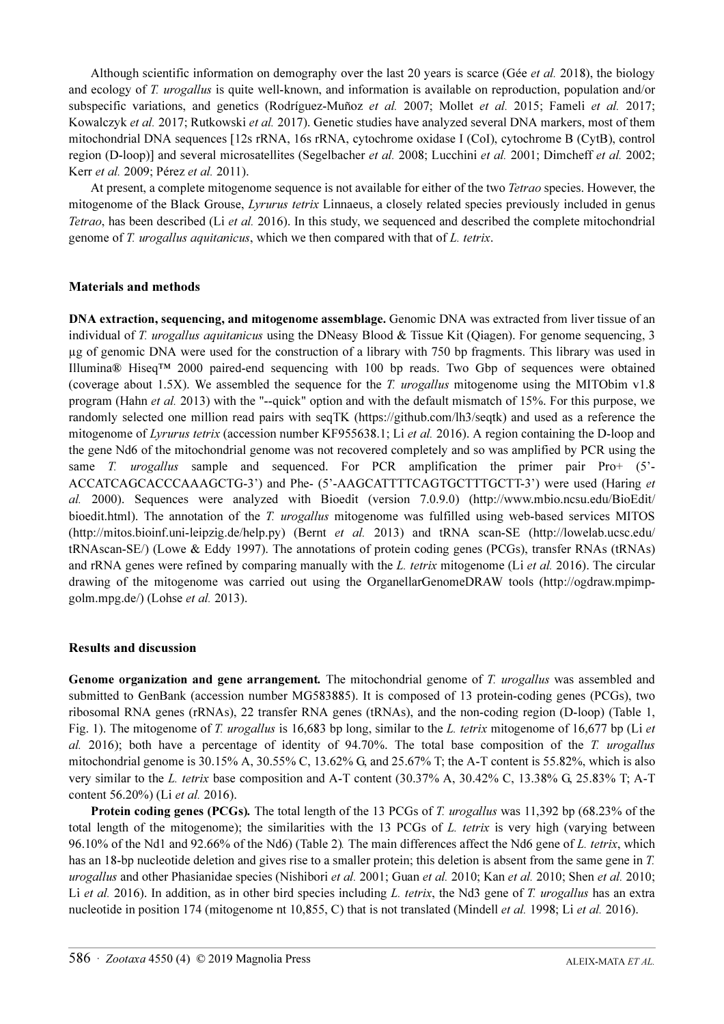Although scientific information on demography over the last 20 years is scarce (Gée et al. 2018), the biology and ecology of T. urogallus is quite well-known, and information is available on reproduction, population and/or subspecific variations, and genetics (Rodríguez-Muñoz et al. 2007; Mollet et al. 2015; Fameli et al. 2017; Kowalczyk et al. 2017; Rutkowski et al. 2017). Genetic studies have analyzed several DNA markers, most of them mitochondrial DNA sequences [12s rRNA, 16s rRNA, cytochrome oxidase I (CoI), cytochrome B (CytB), control region (D-loop)] and several microsatellites (Segelbacher *et al.* 2008; Lucchini *et al.* 2001; Dimcheff *et al.* 2002; Kerr et al. 2009; Pérez et al. 2011).

At present, a complete mitogenome sequence is not available for either of the two Tetrao species. However, the mitogenome of the Black Grouse, Lyrurus tetrix Linnaeus, a closely related species previously included in genus Tetrao, has been described (Li et al. 2016). In this study, we sequenced and described the complete mitochondrial genome of T. urogallus aquitanicus, which we then compared with that of L. tetrix.

# Materials and methods

DNA extraction, sequencing, and mitogenome assemblage. Genomic DNA was extracted from liver tissue of an individual of T. urogallus aquitanicus using the DNeasy Blood & Tissue Kit (Qiagen). For genome sequencing, 3 µg of genomic DNA were used for the construction of a library with 750 bp fragments. This library was used in Illumina® Hiseq™ 2000 paired-end sequencing with 100 bp reads. Two Gbp of sequences were obtained (coverage about 1.5X). We assembled the sequence for the T. *urogallus* mitogenome using the MITObim v1.8 program (Hahn *et al.* 2013) with the "--quick" option and with the default mismatch of 15%. For this purpose, we randomly selected one million read pairs with seqTK (https://github.com/lh3/seqtk) and used as a reference the mitogenome of Lyrurus tetrix (accession number KF955638.1; Li et al. 2016). A region containing the D-loop and the gene Nd6 of the mitochondrial genome was not recovered completely and so was amplified by PCR using the same T. *urogallus* sample and sequenced. For PCR amplification the primer pair Pro+  $(5^{\circ}$ -ACCATCAGCACCCAAAGCTG-3') and Phe- (5'-AAGCATTTTCAGTGCTTTGCTT-3') were used (Haring et al. [2000\). Sequences were analyzed with Bioedit \(version 7.0.9.0\) \(http://www.mbio.ncsu.edu/BioEdit/](http://www.mbio.ncsu.edu/BioEdit/bioedit.html) [bioedit.html\). The annotation of the](http://www.mbio.ncsu.edu/BioEdit/bioedit.html) T. urogallus mitogenome was fulfilled using web-based services MITOS (http://mitos.bioinf.uni-leipzig.de/help.py) (Bernt et al. 2013) and tRNA scan-SE (http://lowelab.ucsc.edu/ tRNAscan-SE/) (Lowe & Eddy 1997). The annotations of protein coding genes (PCGs), transfer RNAs (tRNAs) and rRNA genes were refined by comparing manually with the L. tetrix mitogenome (Li et al. [2016\). The circular](http://ogdraw.mpimp-golm.mpg.de/) [drawing of the mitogenome was carried out using the OrganellarGenomeDRAW tools \(http://ogdraw.mpimp](http://ogdraw.mpimp-golm.mpg.de/)[golm.mpg.de/\) \(Lohse](http://ogdraw.mpimp-golm.mpg.de/) et al. 2013).

# Results and discussion

Genome organization and gene arrangement. The mitochondrial genome of T. urogallus was assembled and submitted to GenBank (accession number MG583885). It is composed of 13 protein-coding genes (PCGs), two ribosomal RNA genes (rRNAs), 22 transfer RNA genes (tRNAs), and the non-coding region (D-loop) (Table 1, Fig. 1). The mitogenome of T. urogallus is 16,683 bp long, similar to the L. tetrix mitogenome of 16,677 bp (Li et al. 2016); both have a percentage of identity of 94.70%. The total base composition of the T. urogallus mitochondrial genome is 30.15% A, 30.55% C, 13.62% G, and 25.67% T; the A-T content is 55.82%, which is also very similar to the L. tetrix base composition and A-T content (30.37% A, 30.42% C, 13.38% G, 25.83% T; A-T content 56.20%) (Li et al. 2016).

Protein coding genes (PCGs). The total length of the 13 PCGs of T. urogallus was 11,392 bp (68.23% of the total length of the mitogenome); the similarities with the 13 PCGs of L. tetrix is very high (varying between 96.10% of the Nd1 and 92.66% of the Nd6) (Table 2). The main differences affect the Nd6 gene of L. tetrix, which has an 18-bp nucleotide deletion and gives rise to a smaller protein; this deletion is absent from the same gene in T. urogallus and other Phasianidae species (Nishibori et al. 2001; Guan et al. 2010; Kan et al. 2010; Shen et al. 2010; Li et al. 2016). In addition, as in other bird species including L. tetrix, the Nd3 gene of T. urogallus has an extra nucleotide in position 174 (mitogenome nt 10,855, C) that is not translated (Mindell *et al.* 1998; Li *et al.* 2016).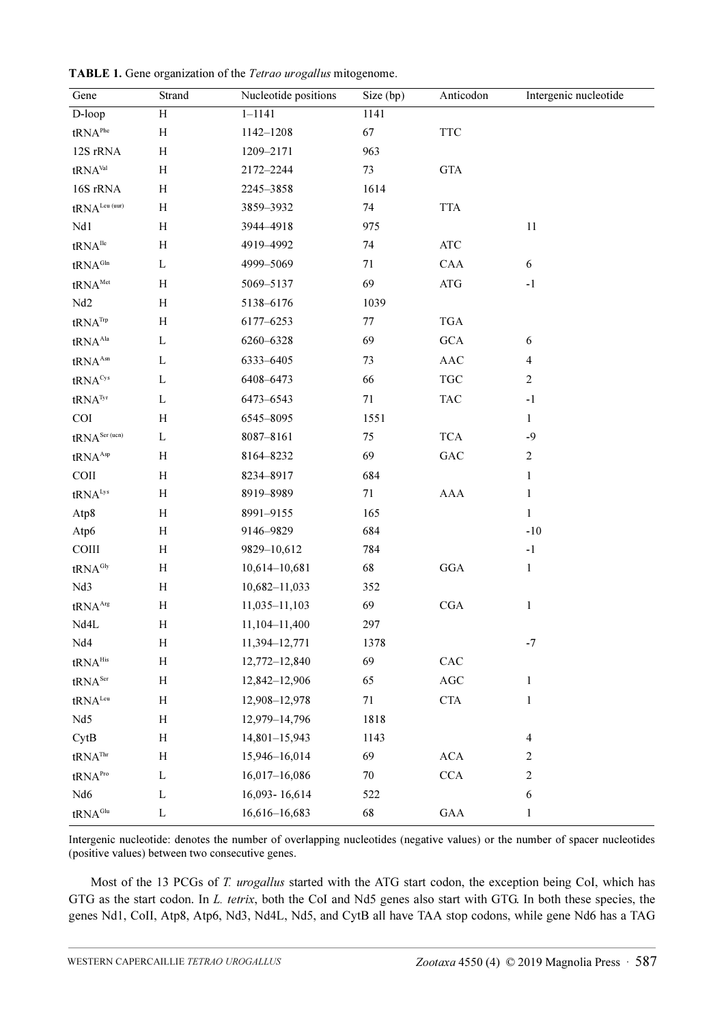| Gene                              | Strand                    | Nucleotide positions | Size (bp) | Anticodon                        | Intergenic nucleotide |
|-----------------------------------|---------------------------|----------------------|-----------|----------------------------------|-----------------------|
| D-loop                            | $\overline{H}$            | $1 - 1141$           | 1141      |                                  |                       |
| $\text{tRNA}^{\text{Phe}}$        | H                         | 1142-1208            | 67        | $\ensuremath{\mathsf{TTC}}$      |                       |
| 12S rRNA                          | H                         | 1209-2171            | 963       |                                  |                       |
| tRNA <sup>Val</sup>               | H                         | 2172-2244            | 73        | <b>GTA</b>                       |                       |
| 16S rRNA                          | $\boldsymbol{\mathrm{H}}$ | 2245-3858            | 1614      |                                  |                       |
| $tRNA^{Leu(uur)}$                 | $\boldsymbol{\mathrm{H}}$ | 3859-3932            | 74        | <b>TTA</b>                       |                       |
| Nd1                               | H                         | 3944-4918            | 975       |                                  | $11\,$                |
| $\text{tRNA}^{\text{Ilc}}$        | $H_{\rm}$                 | 4919-4992            | 74        | $\rm{ATC}$                       |                       |
| tRNA <sup>Gln</sup>               | L                         | 4999-5069            | 71        | CAA                              | $\sqrt{6}$            |
| $\text{tRNA}^{\text{Met}}$        | H                         | 5069-5137            | 69        | $\rm{ATG}$                       | $-1$                  |
| Nd2                               | $\boldsymbol{\mathrm{H}}$ | 5138-6176            | 1039      |                                  |                       |
| $\text{tRNA}^{\text{Trp}}$        | H                         | 6177-6253            | 77        | <b>TGA</b>                       |                       |
| tRNA <sup>Ala</sup>               | L                         | 6260-6328            | 69        | $_{\mathrm{GCA}}$                | $\sqrt{6}$            |
| $tRNA^{Asn}$                      | L                         | 6333-6405            | 73        | $\mathbf{A}\mathbf{A}\mathbf{C}$ | $\overline{4}$        |
| tRNA <sup>Cys</sup>               | L                         | 6408-6473            | 66        | $\operatorname{TGC}$             | $\sqrt{2}$            |
| $tRNA^{Tyr}$                      | L                         | 6473-6543            | 71        | <b>TAC</b>                       | $-1$                  |
| COI                               | H                         | 6545-8095            | 1551      |                                  | $\mathbf{1}$          |
| $tRNA^{Ser (ucn)}$                | L                         | 8087-8161            | 75        | <b>TCA</b>                       | $-9$                  |
| tRNA <sup>Asp</sup>               | H                         | 8164-8232            | 69        | $_{\mathrm{GAC}}$                | $\overline{c}$        |
| COII                              | $\boldsymbol{\mathrm{H}}$ | 8234-8917            | 684       |                                  | $\mathbf{1}$          |
| tRNA <sup>Lys</sup>               | H                         | 8919-8989            | 71        | AAA                              | $\mathbf{1}$          |
| Atp8                              | $\boldsymbol{\mathrm{H}}$ | 8991-9155            | 165       |                                  | 1                     |
| Atp6                              | H                         | 9146-9829            | 684       |                                  | $-10$                 |
| COIII                             | $\boldsymbol{\mathrm{H}}$ | 9829-10,612          | 784       |                                  | $-1$                  |
| tRNA <sup>Gly</sup>               | H                         | 10,614-10,681        | 68        | $_{\rm GGA}$                     | 1                     |
| Nd3                               | $\boldsymbol{\mathrm{H}}$ | 10,682-11,033        | 352       |                                  |                       |
| $\text{tRNA}^{\text{Arg}}$        | H                         | 11,035-11,103        | 69        | $_{\rm CGA}$                     | 1                     |
| Nd4L                              | $H_{\rm}$                 | 11,104-11,400        | 297       |                                  |                       |
| Nd4                               | $\boldsymbol{\mathrm{H}}$ | 11,394-12,771        | 1378      |                                  | $-7$                  |
| $\text{tRNA}^{\text{His}}$        | $\boldsymbol{\mathrm{H}}$ | 12,772-12,840        | 69        | ${\rm CAC}$                      |                       |
| $\text{tRNA}^{\text{Ser}}$        | $\boldsymbol{\mathrm{H}}$ | 12,842-12,906        | 65        | $\rm{AGC}$                       | $\mathbf{1}$          |
| $\text{tRNA}^{\text{\tiny{Leu}}}$ | $\boldsymbol{\mathrm{H}}$ | 12,908-12,978        | 71        | $\operatorname{CTA}$             | 1                     |
| Nd5                               | $\boldsymbol{\mathrm{H}}$ | 12,979-14,796        | 1818      |                                  |                       |
| CytB                              | $\boldsymbol{\mathrm{H}}$ | 14,801-15,943        | 1143      |                                  | $\overline{4}$        |
| $\text{tRNA}^{\text{Thr}}$        | $\boldsymbol{\mathrm{H}}$ | 15,946-16,014        | 69        | $\rm{ACA}$                       | $\overline{c}$        |
| tRNA <sup>Pro</sup>               | L                         | 16,017-16,086        | $70\,$    | CCA                              | $\boldsymbol{2}$      |
| $Nd6$                             | L                         | 16,093-16,614        | 522       |                                  | $\sqrt{6}$            |
| $\text{tRNA}^{\text{Glu}}$        | $\mathbf L$               | 16,616-16,683        | 68        | $\rm GAA$                        | 1                     |

TABLE 1. Gene organization of the Tetrao urogallus mitogenome.

Intergenic nucleotide: denotes the number of overlapping nucleotides (negative values) or the number of spacer nucleotides (positive values) between two consecutive genes.

Most of the 13 PCGs of T. urogallus started with the ATG start codon, the exception being CoI, which has GTG as the start codon. In L. tetrix, both the CoI and Nd5 genes also start with GTG. In both these species, the genes Nd1, CoII, Atp8, Atp6, Nd3, Nd4L, Nd5, and CytB all have TAA stop codons, while gene Nd6 has a TAG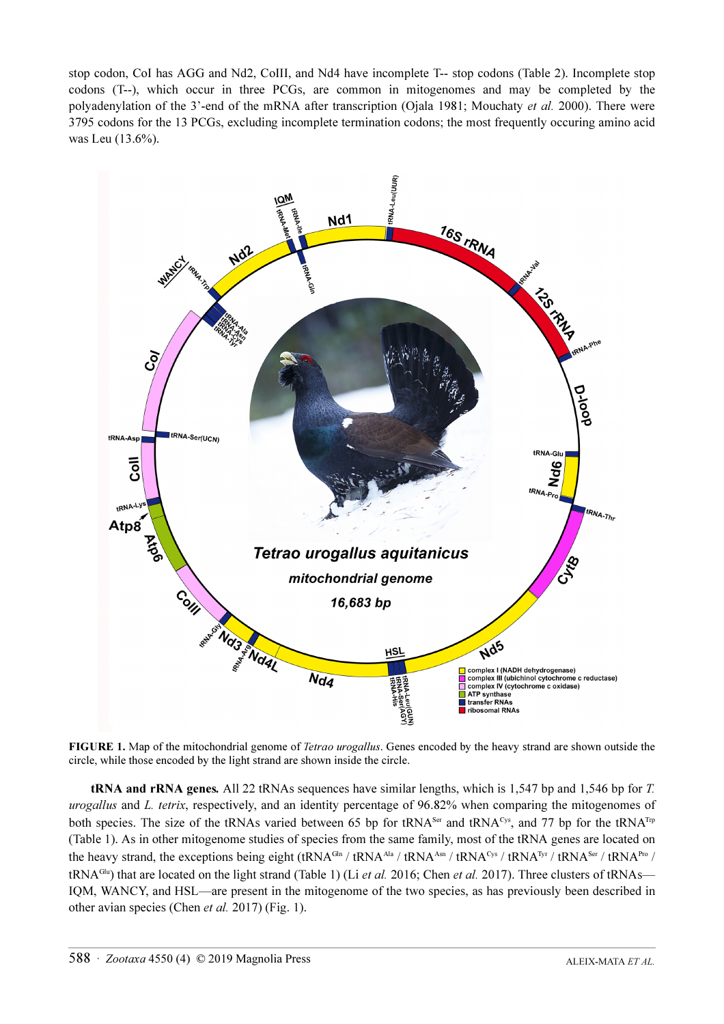stop codon, CoI has AGG and Nd2, CoIII, and Nd4 have incomplete T-- stop codons (Table 2). Incomplete stop codons (T--), which occur in three PCGs, are common in mitogenomes and may be completed by the polyadenylation of the 3'-end of the mRNA after transcription (Ojala 1981; Mouchaty *et al.* 2000). There were 3795 codons for the 13 PCGs, excluding incomplete termination codons; the most frequently occuring amino acid was Leu (13.6%).



FIGURE 1. Map of the mitochondrial genome of Tetrao urogallus. Genes encoded by the heavy strand are shown outside the circle, while those encoded by the light strand are shown inside the circle.

tRNA and rRNA genes. All 22 tRNAs sequences have similar lengths, which is 1,547 bp and 1,546 bp for T. urogallus and L. tetrix, respectively, and an identity percentage of 96.82% when comparing the mitogenomes of both species. The size of the tRNAs varied between 65 bp for tRNA<sup>Ser</sup> and tRNA<sup>Cys</sup>, and 77 bp for the tRNA<sup>T</sup><sup>p</sup> (Table 1). As in other mitogenome studies of species from the same family, most of the tRNA genes are located on the heavy strand, the exceptions being eight (tRNA<sup>Gln</sup> / tRNA<sup>Ala</sup> / tRNA<sup>Asn</sup> / tRNA<sup>Cys</sup> / tRNA<sup>Tyr</sup> / tRNA<sup>Ser</sup> / tRNA<sup>Pro</sup> / tRNA<sup>Glu</sup>) that are located on the light strand (Table 1) (Li *et al.* 2016; Chen *et al.* 2017). Three clusters of tRNAs— IQM, WANCY, and HSL—are present in the mitogenome of the two species, as has previously been described in other avian species (Chen et al. 2017) (Fig. 1).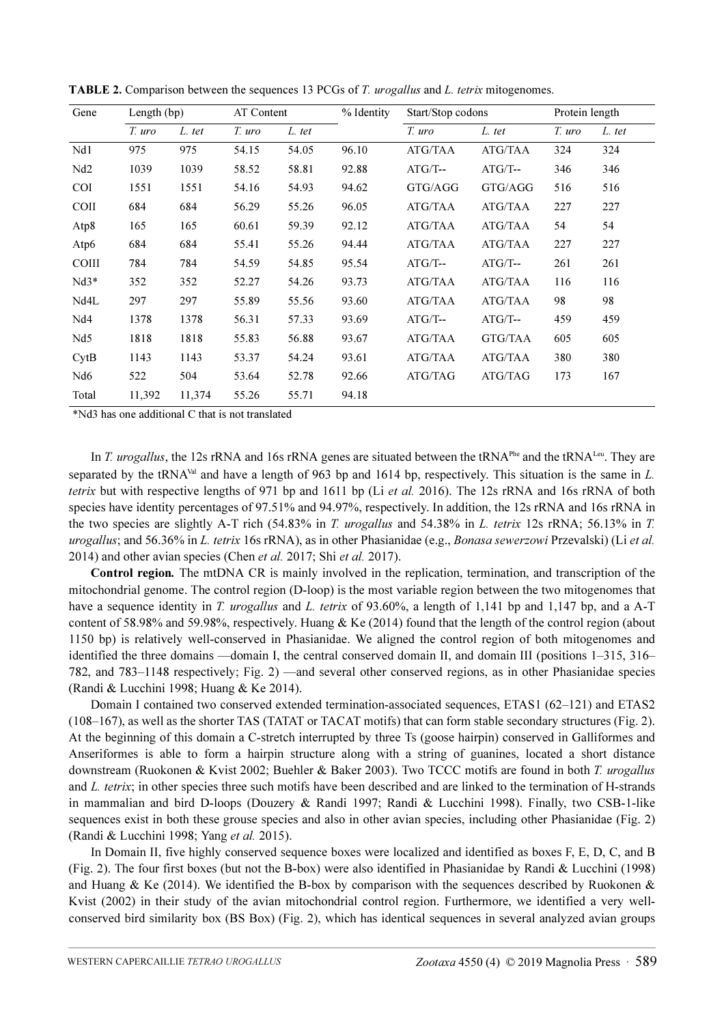| Gene            | Length $(bp)$    |                                | AT Content                         |        | % Identity | Start/Stop codons |            | Protein length |        |
|-----------------|------------------|--------------------------------|------------------------------------|--------|------------|-------------------|------------|----------------|--------|
|                 | T. uro           | L. tet                         | T. uro                             | L. tet |            | T. uro            | L. tet     | T. uro         | L. tet |
| Nd1             | 975              | 975                            | 54.15                              | 54.05  | 96.10      | ATG/TAA           | ATG/TAA    | 324            | 324    |
| Nd2             | 1039             | 1039                           | 58.52                              | 58.81  | 92.88      | $ATG/T$ --        | $ATG/T$ -- | 346            | 346    |
| <b>COI</b>      | 1551             | 1551                           | 54.16                              | 54.93  | 94.62      | GTG/AGG           | GTG/AGG    | 516            | 516    |
| <b>COII</b>     | 684              | 684                            | 56.29                              | 55.26  | 96.05      | ATG/TAA           | ATG/TAA    | 227            | 227    |
| Atp8            | 165              | 165                            | 60.61                              | 59.39  | 92.12      | ATG/TAA           | ATG/TAA    | 54             | 54     |
| Atp6            | 684              | 684                            | 55.41                              | 55.26  | 94.44      | ATG/TAA           | ATG/TAA    | 227            | 227    |
| <b>COIII</b>    | 784              | 784                            | 54.59                              | 54.85  | 95.54      | $ATG/T$ --        | $ATG/T$ -- | 261            | 261    |
| $Nd3*$          | 352              | 352                            | 52.27                              | 54.26  | 93.73      | ATG/TAA           | ATG/TAA    | 116            | 116    |
| Nd4L            | 297              | 297                            | 55.89                              | 55.56  | 93.60      | ATG/TAA           | ATG/TAA    | 98             | 98     |
| Nd4             | 1378             | 1378                           | 56.31                              | 57.33  | 93.69      | $ATG/T$ --        | $ATG/T$ -- | 459            | 459    |
| Nd5             | 1818             | 1818                           | 55.83                              | 56.88  | 93.67      | ATG/TAA           | GTG/TAA    | 605            | 605    |
| CytB            | 1143             | 1143                           | 53.37                              | 54.24  | 93.61      | ATG/TAA           | ATG/TAA    | 380            | 380    |
| Nd <sub>6</sub> | 522              | 504                            | 53.64                              | 52.78  | 92.66      | ATG/TAG           | ATG/TAG    | 173            | 167    |
| Total<br>4.3712 | 11,392<br>1.11.1 | 11,374<br>$\sim$ $\sim$ $\sim$ | 55.26<br>$\mathbf{1}$ $\mathbf{1}$ | 55.71  | 94.18      |                   |            |                |        |

TABLE 2. Comparison between the sequences 13 PCGs of T. urogallus and L. tetrix mitogenomes.

\*Nd3 has one additional C that is not translated

In T. urogallus, the 12s rRNA and 16s rRNA genes are situated between the tRNA<sup>Phe</sup> and the tRNA<sup>Leu</sup>. They are separated by the tRNA<sup>Val</sup> and have a length of 963 bp and 1614 bp, respectively. This situation is the same in L. tetrix but with respective lengths of 971 bp and 1611 bp (Li et al. 2016). The 12s rRNA and 16s rRNA of both species have identity percentages of 97.51% and 94.97%, respectively. In addition, the 12s rRNA and 16s rRNA in the two species are slightly A-T rich (54.83% in T. urogallus and 54.38% in L. tetrix 12s rRNA; 56.13% in T. urogallus; and 56.36% in L. tetrix 16s rRNA), as in other Phasianidae (e.g., Bonasa sewerzowi Przevalski) (Li et al. 2014) and other avian species (Chen et al. 2017; Shi et al. 2017).

Control region. The mtDNA CR is mainly involved in the replication, termination, and transcription of the mitochondrial genome. The control region (D-loop) is the most variable region between the two mitogenomes that have a sequence identity in T. *urogallus* and L. tetrix of 93.60%, a length of 1,141 bp and 1,147 bp, and a A-T content of 58.98% and 59.98%, respectively. Huang  $\&$  Ke (2014) found that the length of the control region (about 1150 bp) is relatively well-conserved in Phasianidae. We aligned the control region of both mitogenomes and identified the three domains —domain I, the central conserved domain II, and domain III (positions 1–315, 316– 782, and 783–1148 respectively; Fig. 2) —and several other conserved regions, as in other Phasianidae species (Randi & Lucchini 1998; Huang & Ke 2014).

Domain I contained two conserved extended termination-associated sequences, ETAS1 (62–121) and ETAS2 (108–167), as well as the shorter TAS (TATAT or TACAT motifs) that can form stable secondary structures (Fig. 2). At the beginning of this domain a C-stretch interrupted by three Ts (goose hairpin) conserved in Galliformes and Anseriformes is able to form a hairpin structure along with a string of guanines, located a short distance downstream (Ruokonen & Kvist 2002; Buehler & Baker 2003). Two TCCC motifs are found in both T. urogallus and L. tetrix; in other species three such motifs have been described and are linked to the termination of H-strands in mammalian and bird D-loops (Douzery & Randi 1997; Randi & Lucchini 1998). Finally, two CSB-1-like sequences exist in both these grouse species and also in other avian species, including other Phasianidae (Fig. 2) (Randi & Lucchini 1998; Yang et al. 2015).

In Domain II, five highly conserved sequence boxes were localized and identified as boxes F, E, D, C, and B (Fig. 2). The four first boxes (but not the B-box) were also identified in Phasianidae by Randi & Lucchini (1998) and Huang & Ke (2014). We identified the B-box by comparison with the sequences described by Ruokonen  $\&$ Kvist (2002) in their study of the avian mitochondrial control region. Furthermore, we identified a very wellconserved bird similarity box (BS Box) (Fig. 2), which has identical sequences in several analyzed avian groups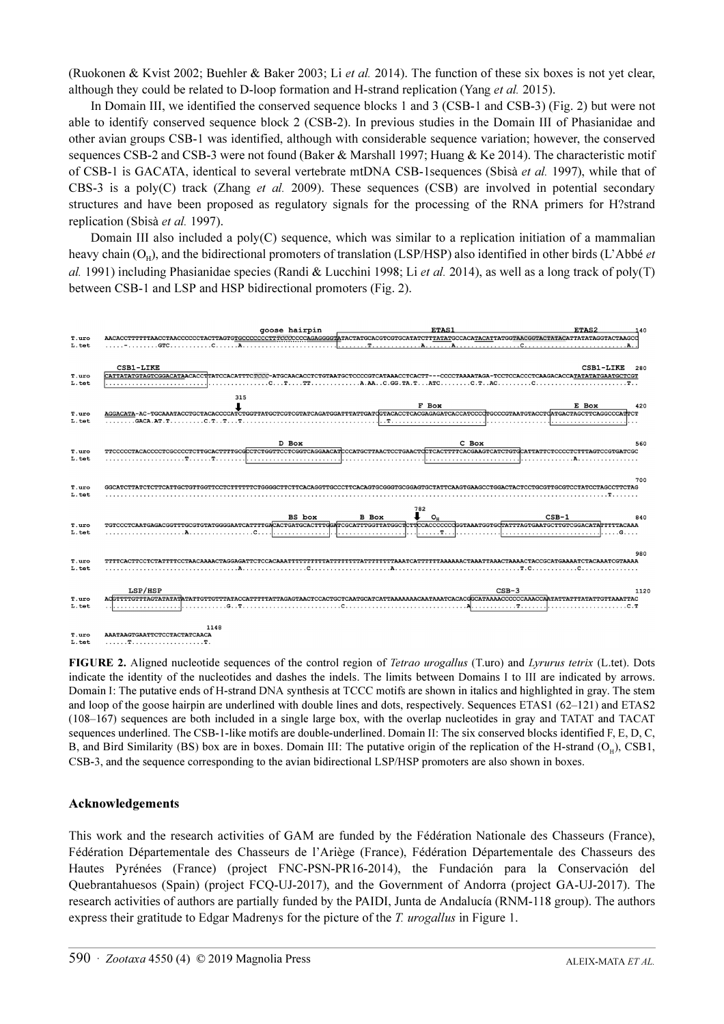(Ruokonen & Kvist 2002; Buehler & Baker 2003; Li et al. 2014). The function of these six boxes is not yet clear, although they could be related to D-loop formation and H-strand replication (Yang et al. 2015).

In Domain III, we identified the conserved sequence blocks 1 and 3 (CSB-1 and CSB-3) (Fig. 2) but were not able to identify conserved sequence block 2 (CSB-2). In previous studies in the Domain III of Phasianidae and other avian groups CSB-1 was identified, although with considerable sequence variation; however, the conserved sequences CSB-2 and CSB-3 were not found (Baker & Marshall 1997; Huang & Ke 2014). The characteristic motif of CSB-1 is GACATA, identical to several vertebrate mtDNA CSB-1sequences (Sbisà et al. 1997), while that of CBS-3 is a poly(C) track (Zhang *et al.* 2009). These sequences (CSB) are involved in potential secondary structures and have been proposed as regulatory signals for the processing of the RNA primers for H?strand replication (Sbisà et al. 1997).

Domain III also included a poly(C) sequence, which was similar to a replication initiation of a mammalian heavy chain  $(O_H)$ , and the bidirectional promoters of translation (LSP/HSP) also identified in other birds (L'Abbé et al. 1991) including Phasianidae species (Randi & Lucchini 1998; Li et al. 2014), as well as a long track of poly(T) between CSB-1 and LSP and HSP bidirectional promoters (Fig. 2).



FIGURE 2. Aligned nucleotide sequences of the control region of Tetrao urogallus (T.uro) and Lyrurus tetrix (L.tet). Dots indicate the identity of the nucleotides and dashes the indels. The limits between Domains I to III are indicated by arrows. Domain I: The putative ends of H-strand DNA synthesis at TCCC motifs are shown in italics and highlighted in gray. The stem and loop of the goose hairpin are underlined with double lines and dots, respectively. Sequences ETAS1 (62–121) and ETAS2 (108–167) sequences are both included in a single large box, with the overlap nucleotides in gray and TATAT and TACAT sequences underlined. The CSB-1-like motifs are double-underlined. Domain II: The six conserved blocks identified F, E, D, C, B, and Bird Similarity (BS) box are in boxes. Domain III: The putative origin of the replication of the H-strand  $(O_H)$ , CSB1, CSB-3, and the sequence corresponding to the avian bidirectional LSP/HSP promoters are also shown in boxes.

# Acknowledgements

This work and the research activities of GAM are funded by the Fédération Nationale des Chasseurs (France), Fédération Départementale des Chasseurs de l'Ariège (France), Fédération Départementale des Chasseurs des Hautes Pyrénées (France) (project FNC-PSN-PR16-2014), the Fundación para la Conservación del Quebrantahuesos (Spain) (project FCQ-UJ-2017), and the Government of Andorra (project GA-UJ-2017). The research activities of authors are partially funded by the PAIDI, Junta de Andalucía (RNM-118 group). The authors express their gratitude to Edgar Madrenys for the picture of the T. urogallus in Figure 1.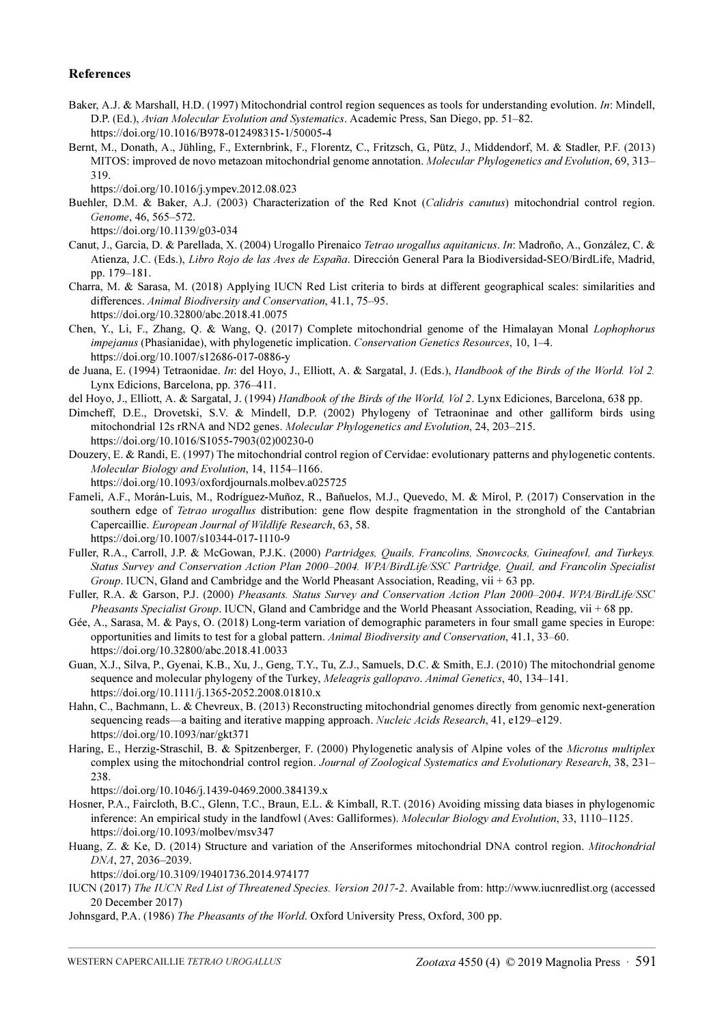#### References

- Baker, A.J. & Marshall, H.D. (1997) Mitochondrial control region sequences as tools for understanding evolution. In: Mindell, D.P. (Ed.), Avian Molecular Evolution and Systematics. Academic Press, San Diego, pp. 51–82. https://doi.org/10.1016/B978-012498315-1/50005-4
- Bernt, M., Donath, A., Jühling, F., Externbrink, F., Florentz, C., Fritzsch, G., Pütz, J., Middendorf, M. & Stadler, P.F. (2013) MITOS: improved de novo metazoan mitochondrial genome annotation. Molecular Phylogenetics and Evolution, 69, 313– 319.

https://doi.org/10.1016/j.ympev.2012.08.023

Buehler, D.M. & Baker, A.J. (2003) Characterization of the Red Knot (Calidris canutus) mitochondrial control region. Genome, 46, 565–572.

https://doi.org/10.1139/g03-034

- Canut, J., Garcia, D. & Parellada, X. (2004) Urogallo Pirenaico Tetrao urogallus aquitanicus. In: Madroño, A., González, C. & Atienza, J.C. (Eds.), Libro Rojo de las Aves de España. Dirección General Para la Biodiversidad-SEO/BirdLife, Madrid, pp. 179–181.
- Charra, M. & Sarasa, M. (2018) Applying IUCN Red List criteria to birds at different geographical scales: similarities and differences. Animal Biodiversity and Conservation, 41.1, 75–95. https://doi.org/10.32800/abc.2018.41.0075
- Chen, Y., Li, F., Zhang, Q. & Wang, Q. (2017) Complete mitochondrial genome of the Himalayan Monal Lophophorus impejanus (Phasianidae), with phylogenetic implication. Conservation Genetics Resources, 10, 1-4. https://doi.org/10.1007/s12686-017-0886-y
- de Juana, E. (1994) Tetraonidae. In: del Hoyo, J., Elliott, A. & Sargatal, J. (Eds.), Handbook of the Birds of the World. Vol 2. Lynx Edicions, Barcelona, pp. 376–411.
- del Hoyo, J., Elliott, A. & Sargatal, J. (1994) Handbook of the Birds of the World, Vol 2. Lynx Ediciones, Barcelona, 638 pp.
- Dimcheff, D.E., Drovetski, S.V. & Mindell, D.P. (2002) Phylogeny of Tetraoninae and other galliform birds using mitochondrial 12s rRNA and ND2 genes. Molecular Phylogenetics and Evolution, 24, 203–215. https://doi.org/10.1016/S1055-7903(02)00230-0
- Douzery, E. & Randi, E. (1997) The mitochondrial control region of Cervidae: evolutionary patterns and phylogenetic contents. Molecular Biology and Evolution, 14, 1154–1166.
	- https://doi.org/10.1093/oxfordjournals.molbev.a025725
- Fameli, A.F., Morán-Luis, M., Rodríguez-Muñoz, R., Bañuelos, M.J., Quevedo, M. & Mirol, P. (2017) Conservation in the southern edge of Tetrao urogallus distribution: gene flow despite fragmentation in the stronghold of the Cantabrian Capercaillie. European Journal of Wildlife Research, 63, 58. https://doi.org/10.1007/s10344-017-1110-9
- Fuller, R.A., Carroll, J.P. & McGowan, P.J.K. (2000) Partridges, Quails, Francolins, Snowcocks, Guineafowl, and Turkeys. Status Survey and Conservation Action Plan 2000–2004. WPA/BirdLife/SSC Partridge, Quail, and Francolin Specialist Group. IUCN, Gland and Cambridge and the World Pheasant Association, Reading, vii  $+ 63$  pp.
- Fuller, R.A. & Garson, P.J. (2000) Pheasants. Status Survey and Conservation Action Plan 2000–2004. WPA/BirdLife/SSC Pheasants Specialist Group. IUCN, Gland and Cambridge and the World Pheasant Association, Reading, vii + 68 pp.
- Gée, A., Sarasa, M. & Pays, O. (2018) Long-term variation of demographic parameters in four small game species in Europe: opportunities and limits to test for a global pattern. Animal Biodiversity and Conservation, 41.1, 33–60. https://doi.org/10.32800/abc.2018.41.0033
- Guan, X.J., Silva, P., Gyenai, K.B., Xu, J., Geng, T.Y., Tu, Z.J., Samuels, D.C. & Smith, E.J. (2010) The mitochondrial genome sequence and molecular phylogeny of the Turkey, Meleagris gallopavo. Animal Genetics, 40, 134–141. https://doi.org/10.1111/j.1365-2052.2008.01810.x
- Hahn, C., Bachmann, L. & Chevreux, B. (2013) Reconstructing mitochondrial genomes directly from genomic next-generation sequencing reads—a baiting and iterative mapping approach. *Nucleic Acids Research*, 41, e129–e129. https://doi.org/10.1093/nar/gkt371
- Haring, E., Herzig-Straschil, B. & Spitzenberger, F. (2000) Phylogenetic analysis of Alpine voles of the Microtus multiplex complex using the mitochondrial control region. Journal of Zoological Systematics and Evolutionary Research, 38, 231– 238.

https://doi.org/10.1046/j.1439-0469.2000.384139.x

- Hosner, P.A., Faircloth, B.C., Glenn, T.C., Braun, E.L. & Kimball, R.T. (2016) Avoiding missing data biases in phylogenomic inference: An empirical study in the landfowl (Aves: Galliformes). Molecular Biology and Evolution, 33, 1110–1125. https://doi.org/10.1093/molbev/msv347
- Huang, Z. & Ke, D. (2014) Structure and variation of the Anseriformes mitochondrial DNA control region. Mitochondrial DNA, 27, 2036–2039.

https://doi.org/10.3109/19401736.2014.974177

- IUCN (2017) The IUCN Red List of Threatened Species. Version 2017-2. Available from: http://www.iucnredlist.org (accessed 20 December 2017)
- Johnsgard, P.A. (1986) The Pheasants of the World. Oxford University Press, Oxford, 300 pp.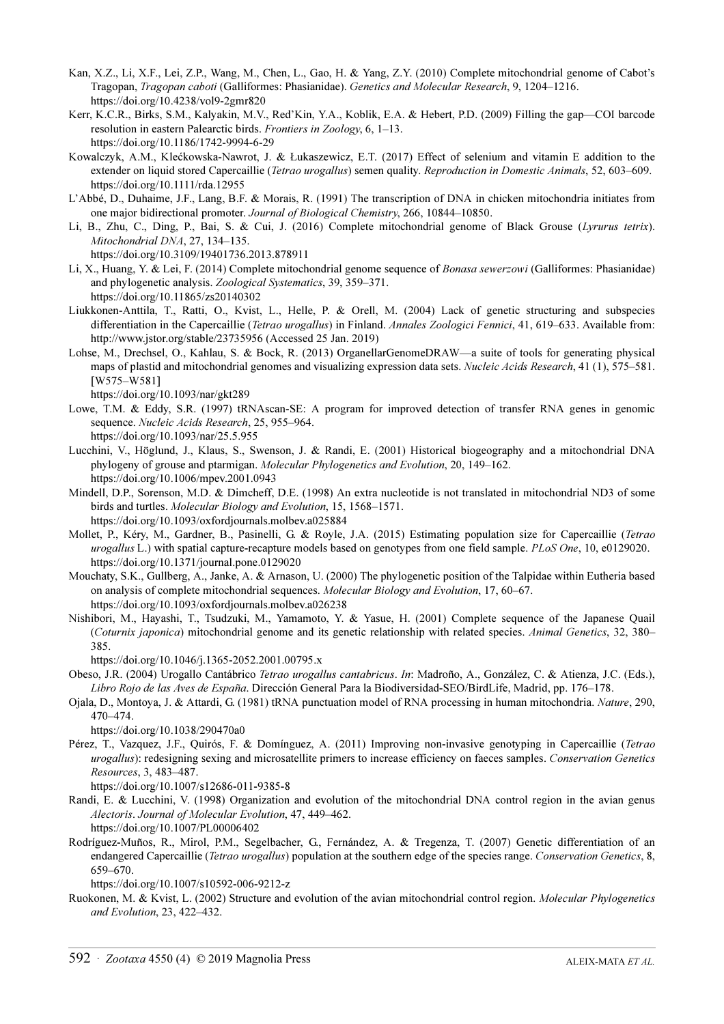- Kan, X.Z., Li, X.F., Lei, Z.P., Wang, M., Chen, L., Gao, H. & Yang, Z.Y. (2010) Complete mitochondrial genome of Cabot's Tragopan, Tragopan caboti (Galliformes: Phasianidae). Genetics and Molecular Research, 9, 1204–1216. https://doi.org/10.4238/vol9-2gmr820
- Kerr, K.C.R., Birks, S.M., Kalyakin, M.V., Red'Kin, Y.A., Koblik, E.A. & Hebert, P.D. (2009) Filling the gap—COI barcode resolution in eastern Palearctic birds. Frontiers in Zoology, 6, 1–13. https://doi.org/10.1186/1742-9994-6-29
- Kowalczyk, A.M., Klećkowska-Nawrot, J. & Łukaszewicz, E.T. (2017) Effect of selenium and vitamin E addition to the extender on liquid stored Capercaillie (Tetrao urogallus) semen quality. Reproduction in Domestic Animals, 52, 603–609. https://doi.org/10.1111/rda.12955
- L'Abbé, D., Duhaime, J.F., Lang, B.F. & Morais, R. (1991) The transcription of DNA in chicken mitochondria initiates from one major bidirectional promoter. Journal of Biological Chemistry, 266, 10844–10850.
- Li, B., Zhu, C., Ding, P., Bai, S. & Cui, J. (2016) Complete mitochondrial genome of Black Grouse (Lyrurus tetrix). Mitochondrial DNA, 27, 134–135.

https://doi.org/10.3109/19401736.2013.878911

- Li, X., Huang, Y. & Lei, F. (2014) Complete mitochondrial genome sequence of Bonasa sewerzowi (Galliformes: Phasianidae) and phylogenetic analysis. Zoological Systematics, 39, 359–371. https://doi.org/10.11865/zs20140302
- Liukkonen-Anttila, T., Ratti, O., Kvist, L., Helle, P. & Orell, M. (2004) Lack of genetic structuring and subspecies differentiation in the Capercaillie (Tetrao urogallus) in Finland. Annales Zoologici Fennici, 41, 619–633. Available from: http://www.jstor.org/stable/23735956 (Accessed 25 Jan. 2019)
- Lohse, M., Drechsel, O., Kahlau, S. & Bock, R. (2013) OrganellarGenomeDRAW—a suite of tools for generating physical maps of plastid and mitochondrial genomes and visualizing expression data sets. *Nucleic Acids Research*, 41 (1), 575–581. [W575–W581]

https://doi.org/10.1093/nar/gkt289

- Lowe, T.M. & Eddy, S.R. (1997) tRNAscan-SE: A program for improved detection of transfer RNA genes in genomic sequence. Nucleic Acids Research, 25, 955–964. https://doi.org/10.1093/nar/25.5.955
- Lucchini, V., Höglund, J., Klaus, S., Swenson, J. & Randi, E. (2001) Historical biogeography and a mitochondrial DNA phylogeny of grouse and ptarmigan. Molecular Phylogenetics and Evolution, 20, 149–162. https://doi.org/10.1006/mpev.2001.0943
- Mindell, D.P., Sorenson, M.D. & Dimcheff, D.E. (1998) An extra nucleotide is not translated in mitochondrial ND3 of some birds and turtles. Molecular Biology and Evolution, 15, 1568–1571. https://doi.org/10.1093/oxfordjournals.molbev.a025884
- Mollet, P., Kéry, M., Gardner, B., Pasinelli, G. & Royle, J.A. (2015) Estimating population size for Capercaillie (Tetrao urogallus L.) with spatial capture-recapture models based on genotypes from one field sample. PLoS One, 10, e0129020. https://doi.org/10.1371/journal.pone.0129020
- Mouchaty, S.K., Gullberg, A., Janke, A. & Arnason, U. (2000) The phylogenetic position of the Talpidae within Eutheria based on analysis of complete mitochondrial sequences. Molecular Biology and Evolution, 17, 60–67. https://doi.org/10.1093/oxfordjournals.molbev.a026238
- Nishibori, M., Hayashi, T., Tsudzuki, M., Yamamoto, Y. & Yasue, H. (2001) Complete sequence of the Japanese Quail (Coturnix japonica) mitochondrial genome and its genetic relationship with related species. Animal Genetics, 32, 380– 385.

https://doi.org/10.1046/j.1365-2052.2001.00795.x

- Obeso, J.R. (2004) Urogallo Cantábrico Tetrao urogallus cantabricus. In: Madroño, A., González, C. & Atienza, J.C. (Eds.), Libro Rojo de las Aves de España. Dirección General Para la Biodiversidad-SEO/BirdLife, Madrid, pp. 176–178.
- Ojala, D., Montoya, J. & Attardi, G. (1981) tRNA punctuation model of RNA processing in human mitochondria. Nature, 290, 470–474.

https://doi.org/10.1038/290470a0

Pérez, T., Vazquez, J.F., Quirós, F. & Domínguez, A. (2011) Improving non-invasive genotyping in Capercaillie (Tetrao urogallus): redesigning sexing and microsatellite primers to increase efficiency on faeces samples. Conservation Genetics Resources, 3, 483–487.

https://doi.org/10.1007/s12686-011-9385-8

- Randi, E. & Lucchini, V. (1998) Organization and evolution of the mitochondrial DNA control region in the avian genus Alectoris. Journal of Molecular Evolution, 47, 449–462. https://doi.org/10.1007/PL00006402
- Rodríguez-Muños, R., Mirol, P.M., Segelbacher, G., Fernández, A. & Tregenza, T. (2007) Genetic differentiation of an endangered Capercaillie (Tetrao urogallus) population at the southern edge of the species range. Conservation Genetics, 8, 659–670.

https://doi.org/10.1007/s10592-006-9212-z

Ruokonen, M. & Kvist, L. (2002) Structure and evolution of the avian mitochondrial control region. Molecular Phylogenetics and Evolution, 23, 422–432.